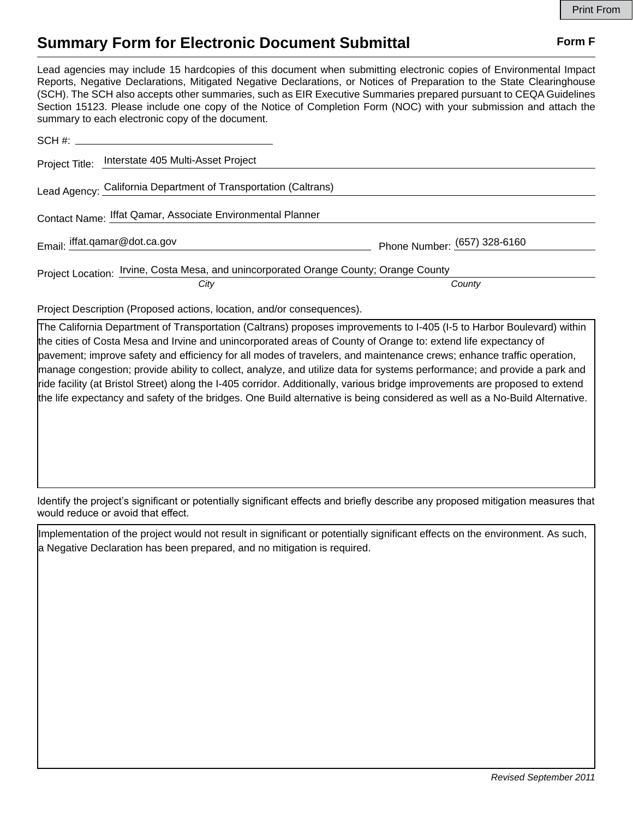## **Summary Form for Electronic Document Submittal Form F Form F**

Lead agencies may include 15 hardcopies of this document when submitting electronic copies of Environmental Impact Reports, Negative Declarations, Mitigated Negative Declarations, or Notices of Preparation to the State Clearinghouse (SCH). The SCH also accepts other summaries, such as EIR Executive Summaries prepared pursuant to CEQA Guidelines Section 15123. Please include one copy of the Notice of Completion Form (NOC) with your submission and attach the summary to each electronic copy of the document.

| SCH #:                                                                                       |                              |
|----------------------------------------------------------------------------------------------|------------------------------|
| Project Title: Interstate 405 Multi-Asset Project                                            |                              |
| Lead Agency: California Department of Transportation (Caltrans)                              |                              |
| Contact Name: Iffat Qamar, Associate Environmental Planner                                   |                              |
| Email: iffat.qamar@dot.ca.gov                                                                | Phone Number: (657) 328-6160 |
| Project Location: <i>Irvine, Costa Mesa, and unincorporated Orange County; Orange County</i> |                              |
| City                                                                                         | County                       |

Project Description (Proposed actions, location, and/or consequences).

The California Department of Transportation (Caltrans) proposes improvements to I-405 (I-5 to Harbor Boulevard) within the cities of Costa Mesa and Irvine and unincorporated areas of County of Orange to: extend life expectancy of pavement; improve safety and efficiency for all modes of travelers, and maintenance crews; enhance traffic operation, manage congestion; provide ability to collect, analyze, and utilize data for systems performance; and provide a park and ride facility (at Bristol Street) along the I-405 corridor. Additionally, various bridge improvements are proposed to extend the life expectancy and safety of the bridges. One Build alternative is being considered as well as a No-Build Alternative.

Identify the project's significant or potentially significant effects and briefly describe any proposed mitigation measures that would reduce or avoid that effect.

Implementation of the project would not result in significant or potentially significant effects on the environment. As such, a Negative Declaration has been prepared, and no mitigation is required.